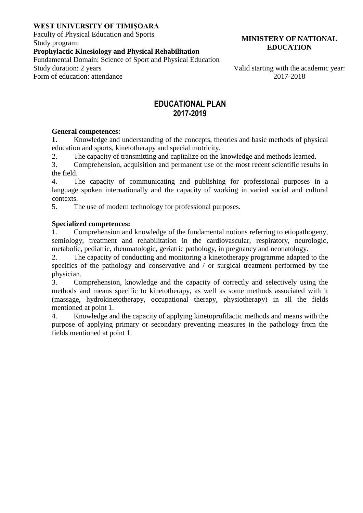#### **WEST UNIVERSITY OF TIMIȘOARA**

Faculty of Physical Education and Sports Study program:

### **Prophylactic Kinesiology and Physical Rehabilitation**

Fundamental Domain: Science of Sport and Physical Education

Form of education: attendance 2017-2018

**MINISTERY OF NATIONAL EDUCATION**

Valid starting with the academic year:

## **EDUCATIONAL PLAN 2017-2019**

#### **General competences:**

**1.** Knowledge and understanding of the concepts, theories and basic methods of physical education and sports, kinetotherapy and special motricity.

2. The capacity of transmitting and capitalize on the knowledge and methods learned.

3. Comprehension, acquisition and permanent use of the most recent scientific results in the field.

4. The capacity of communicating and publishing for professional purposes in a language spoken internationally and the capacity of working in varied social and cultural contexts.

5. The use of modern technology for professional purposes.

#### **Specialized competences:**

1. Comprehension and knowledge of the fundamental notions referring to etiopathogeny, semiology, treatment and rehabilitation in the cardiovascular, respiratory, neurologic, metabolic, pediatric, rheumatologic, geriatric pathology, in pregnancy and neonatology.

2. The capacity of conducting and monitoring a kinetotherapy programme adapted to the specifics of the pathology and conservative and / or surgical treatment performed by the physician.

3. Comprehension, knowledge and the capacity of correctly and selectively using the methods and means specific to kinetotherapy, as well as some methods associated with it (massage, hydrokinetotherapy, occupational therapy, physiotherapy) in all the fields mentioned at point 1.

4. Knowledge and the capacity of applying kinetoprofilactic methods and means with the purpose of applying primary or secondary preventing measures in the pathology from the fields mentioned at point 1.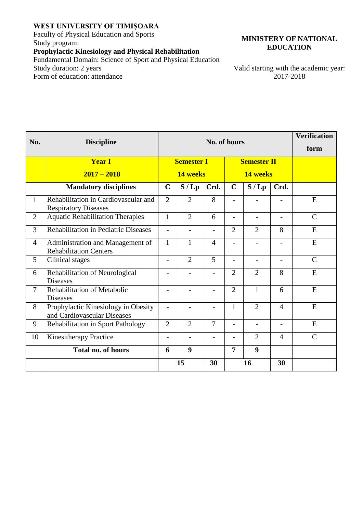#### **WEST UNIVERSITY OF TIMIȘOARA**

Faculty of Physical Education and Sports Study program:

# **Prophylactic Kinesiology and Physical Rehabilitation**

Fundamental Domain: Science of Sport and Physical Education<br>Study duration: 2 years Form of education: attendance

**MINISTERY OF NATIONAL EDUCATION**

Valid starting with the academic year:<br>2017-2018

| No.            | <b>Discipline</b>                                                   |                          |                          | <b>Verification</b>      |                          |                          |                          |               |
|----------------|---------------------------------------------------------------------|--------------------------|--------------------------|--------------------------|--------------------------|--------------------------|--------------------------|---------------|
|                |                                                                     | No. of hours             |                          |                          |                          |                          |                          | form          |
|                | <b>Year I</b>                                                       | <b>Semester I</b>        |                          |                          | <b>Semester II</b>       |                          |                          |               |
|                | $2017 - 2018$                                                       | 14 weeks                 |                          |                          | 14 weeks                 |                          |                          |               |
|                | <b>Mandatory disciplines</b>                                        | $\mathbf C$              | S/Lp                     | Crd.                     | $\mathbf C$              | S/Lp                     | Crd.                     |               |
| 1              | Rehabilitation in Cardiovascular and<br><b>Respiratory Diseases</b> | $\overline{2}$           | $\overline{2}$           | 8                        | -                        |                          |                          | E             |
| $\overline{2}$ | <b>Aquatic Rehabilitation Therapies</b>                             | $\mathbf{1}$             | $\overline{2}$           | 6                        | $\overline{a}$           | $\overline{a}$           |                          | $\mathcal{C}$ |
| 3              | Rehabilitation in Pediatric Diseases                                | $\overline{\phantom{0}}$ | $\overline{a}$           | $\overline{\phantom{a}}$ | $\overline{2}$           | $\overline{2}$           | 8                        | E             |
| $\overline{4}$ | Administration and Management of<br><b>Rehabilitation Centers</b>   | 1                        | $\mathbf{1}$             | $\overline{4}$           | $\overline{a}$           | $\overline{\phantom{0}}$ | $\overline{\phantom{0}}$ | E             |
| 5              | Clinical stages                                                     | $\overline{\phantom{0}}$ | $\overline{2}$           | 5                        | $\overline{\phantom{0}}$ | $\overline{\phantom{a}}$ | $\overline{\phantom{a}}$ | $\mathcal{C}$ |
| 6              | Rehabilitation of Neurological<br><b>Diseases</b>                   | $\overline{\phantom{0}}$ | $\overline{\phantom{a}}$ | $\overline{\phantom{a}}$ | $\overline{2}$           | $\overline{2}$           | 8                        | E             |
| $\overline{7}$ | Rehabilitation of Metabolic<br><b>Diseases</b>                      | $\overline{\phantom{0}}$ | $\overline{a}$           | $\overline{\phantom{0}}$ | $\overline{2}$           | $\mathbf{1}$             | 6                        | E             |
| 8              | Prophylactic Kinesiology in Obesity<br>and Cardiovascular Diseases  | $\overline{a}$           | $\overline{a}$           | $\overline{\phantom{0}}$ | $\mathbf{1}$             | $\overline{2}$           | $\overline{4}$           | E             |
| 9              | Rehabilitation in Sport Pathology                                   | $\overline{2}$           | $\overline{2}$           | $\overline{7}$           | $\overline{\phantom{a}}$ | $\overline{\phantom{a}}$ | $\overline{\phantom{a}}$ | E             |
| 10             | Kinesitherapy Practice                                              | -                        | $\overline{\phantom{a}}$ | $\overline{\phantom{a}}$ | $\overline{\phantom{0}}$ | $\overline{2}$           | $\overline{4}$           | $\mathcal{C}$ |
|                | <b>Total no. of hours</b>                                           | 6                        | 9                        |                          | 7                        | $\boldsymbol{9}$         |                          |               |
|                |                                                                     | 15                       |                          | 30                       | 16                       |                          | 30                       |               |